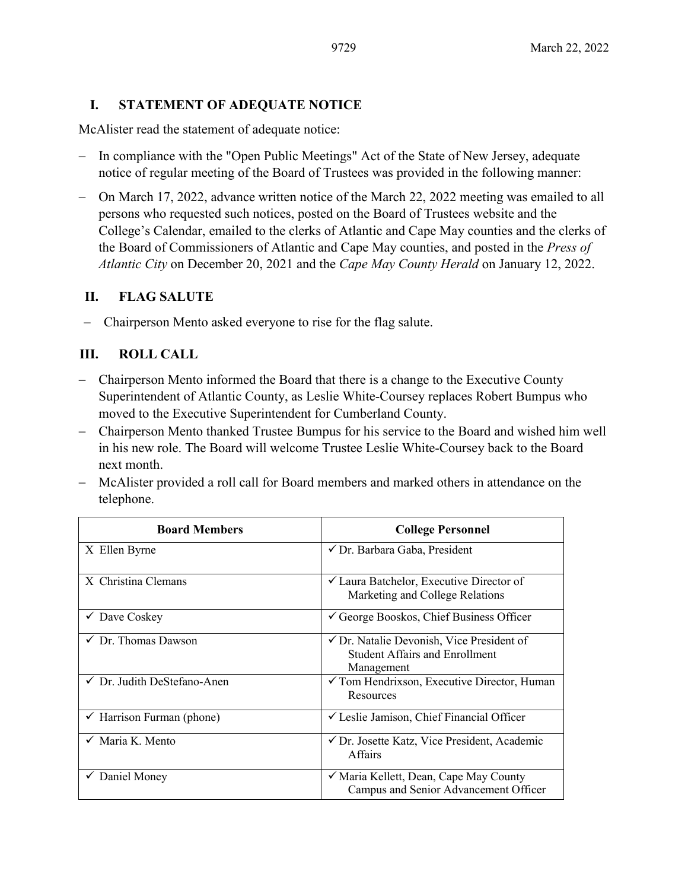# **I. STATEMENT OF ADEQUATE NOTICE**

McAlister read the statement of adequate notice:

- − In compliance with the "Open Public Meetings" Act of the State of New Jersey, adequate notice of regular meeting of the Board of Trustees was provided in the following manner:
- − On March 17, 2022, advance written notice of the March 22, 2022 meeting was emailed to all persons who requested such notices, posted on the Board of Trustees website and the College's Calendar, emailed to the clerks of Atlantic and Cape May counties and the clerks of the Board of Commissioners of Atlantic and Cape May counties, and posted in the *Press of Atlantic City* on December 20, 2021 and the *Cape May County Herald* on January 12, 2022.

# **II. FLAG SALUTE**

− Chairperson Mento asked everyone to rise for the flag salute.

# **III. ROLL CALL**

- − Chairperson Mento informed the Board that there is a change to the Executive County Superintendent of Atlantic County, as Leslie White-Coursey replaces Robert Bumpus who moved to the Executive Superintendent for Cumberland County.
- − Chairperson Mento thanked Trustee Bumpus for his service to the Board and wished him well in his new role. The Board will welcome Trustee Leslie White-Coursey back to the Board next month.
- − McAlister provided a roll call for Board members and marked others in attendance on the telephone.

| <b>Board Members</b>                   | <b>College Personnel</b>                                                                                    |
|----------------------------------------|-------------------------------------------------------------------------------------------------------------|
| X Ellen Byrne                          | ✔ Dr. Barbara Gaba, President                                                                               |
| X Christina Clemans                    | $\checkmark$ Laura Batchelor, Executive Director of<br>Marketing and College Relations                      |
| $\checkmark$ Dave Coskey               | $\checkmark$ George Booskos, Chief Business Officer                                                         |
| $\checkmark$ Dr. Thomas Dawson         | $\checkmark$ Dr. Natalie Devonish, Vice President of<br><b>Student Affairs and Enrollment</b><br>Management |
| $\checkmark$ Dr. Judith DeStefano-Anen | $\checkmark$ Tom Hendrixson, Executive Director, Human<br>Resources                                         |
| Harrison Furman (phone)                | $\checkmark$ Leslie Jamison, Chief Financial Officer                                                        |
| $\checkmark$ Maria K. Mento            | ✔ Dr. Josette Katz, Vice President, Academic<br><b>Affairs</b>                                              |
| Daniel Money                           | ✓ Maria Kellett, Dean, Cape May County<br>Campus and Senior Advancement Officer                             |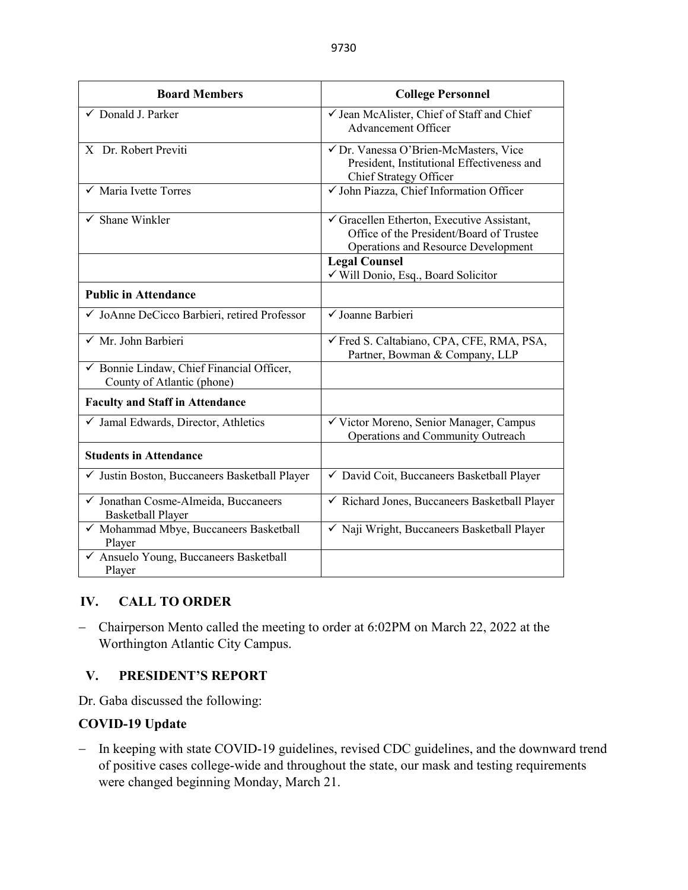| <b>Board Members</b>                                                    | <b>College Personnel</b>                                                                                                    |
|-------------------------------------------------------------------------|-----------------------------------------------------------------------------------------------------------------------------|
| ✓ Donald J. Parker                                                      | √ Jean McAlister, Chief of Staff and Chief<br><b>Advancement Officer</b>                                                    |
| X Dr. Robert Previti                                                    | √ Dr. Vanessa O'Brien-McMasters, Vice<br>President, Institutional Effectiveness and<br>Chief Strategy Officer               |
| $\checkmark$ Maria Ivette Torres                                        | V John Piazza, Chief Information Officer                                                                                    |
| $\checkmark$ Shane Winkler                                              | Gracellen Etherton, Executive Assistant,<br>Office of the President/Board of Trustee<br>Operations and Resource Development |
|                                                                         | <b>Legal Counsel</b><br>√ Will Donio, Esq., Board Solicitor                                                                 |
| <b>Public in Attendance</b>                                             |                                                                                                                             |
| √ JoAnne DeCicco Barbieri, retired Professor                            | √ Joanne Barbieri                                                                                                           |
| $\checkmark$ Mr. John Barbieri                                          | √ Fred S. Caltabiano, CPA, CFE, RMA, PSA,<br>Partner, Bowman & Company, LLP                                                 |
| ✔ Bonnie Lindaw, Chief Financial Officer,<br>County of Atlantic (phone) |                                                                                                                             |
| <b>Faculty and Staff in Attendance</b>                                  |                                                                                                                             |
| $\checkmark$ Jamal Edwards, Director, Athletics                         | √ Victor Moreno, Senior Manager, Campus<br>Operations and Community Outreach                                                |
| <b>Students in Attendance</b>                                           |                                                                                                                             |
| √ Justin Boston, Buccaneers Basketball Player                           | √ David Coit, Buccaneers Basketball Player                                                                                  |
| √ Jonathan Cosme-Almeida, Buccaneers<br><b>Basketball Player</b>        | √ Richard Jones, Buccaneers Basketball Player                                                                               |
| √ Mohammad Mbye, Buccaneers Basketball<br>Player                        | √ Naji Wright, Buccaneers Basketball Player                                                                                 |
| √ Ansuelo Young, Buccaneers Basketball<br>Player                        |                                                                                                                             |

# **IV. CALL TO ORDER**

− Chairperson Mento called the meeting to order at 6:02PM on March 22, 2022 at the Worthington Atlantic City Campus.

# **V. PRESIDENT'S REPORT**

Dr. Gaba discussed the following:

# **COVID-19 Update**

− In keeping with state COVID-19 guidelines, revised CDC guidelines, and the downward trend of positive cases college-wide and throughout the state, our mask and testing requirements were changed beginning Monday, March 21.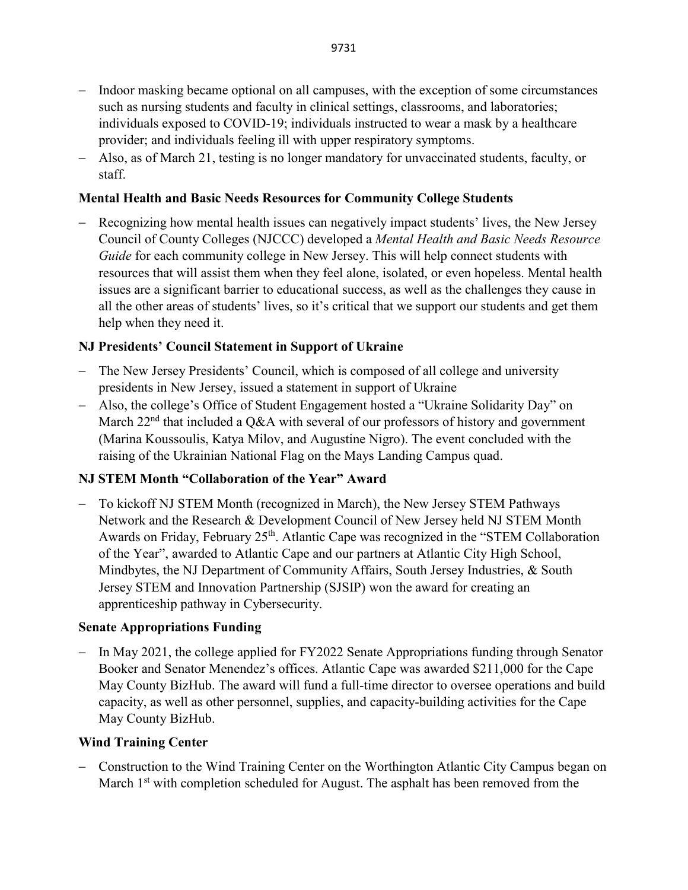- − Indoor masking became optional on all campuses, with the exception of some circumstances such as nursing students and faculty in clinical settings, classrooms, and laboratories; individuals exposed to COVID-19; individuals instructed to wear a mask by a healthcare provider; and individuals feeling ill with upper respiratory symptoms.
- − Also, as of March 21, testing is no longer mandatory for unvaccinated students, faculty, or staff.

### **Mental Health and Basic Needs Resources for Community College Students**

Recognizing how mental health issues can negatively impact students' lives, the New Jersey Council of County Colleges (NJCCC) developed a *Mental Health and Basic Needs Resource Guide* for each community college in New Jersey. This will help connect students with resources that will assist them when they feel alone, isolated, or even hopeless. Mental health issues are a significant barrier to educational success, as well as the challenges they cause in all the other areas of students' lives, so it's critical that we support our students and get them help when they need it.

### **NJ Presidents' Council Statement in Support of Ukraine**

- − The New Jersey Presidents' Council, which is composed of all college and university presidents in New Jersey, issued a statement in support of Ukraine
- − Also, the college's Office of Student Engagement hosted a "Ukraine Solidarity Day" on March  $22<sup>nd</sup>$  that included a Q&A with several of our professors of history and government (Marina Koussoulis, Katya Milov, and Augustine Nigro). The event concluded with the raising of the Ukrainian National Flag on the Mays Landing Campus quad.

# **NJ STEM Month "Collaboration of the Year" Award**

− To kickoff NJ STEM Month (recognized in March), the New Jersey STEM Pathways Network and the Research & Development Council of New Jersey held NJ STEM Month Awards on Friday, February 25<sup>th</sup>. Atlantic Cape was recognized in the "STEM Collaboration of the Year", awarded to Atlantic Cape and our partners at Atlantic City High School, Mindbytes, the NJ Department of Community Affairs, South Jersey Industries, & South Jersey STEM and Innovation Partnership (SJSIP) won the award for creating an apprenticeship pathway in Cybersecurity.

### **Senate Appropriations Funding**

In May 2021, the college applied for FY2022 Senate Appropriations funding through Senator Booker and Senator Menendez's offices. Atlantic Cape was awarded \$211,000 for the Cape May County BizHub. The award will fund a full-time director to oversee operations and build capacity, as well as other personnel, supplies, and capacity-building activities for the Cape May County BizHub.

### **Wind Training Center**

− Construction to the Wind Training Center on the Worthington Atlantic City Campus began on March  $1<sup>st</sup>$  with completion scheduled for August. The asphalt has been removed from the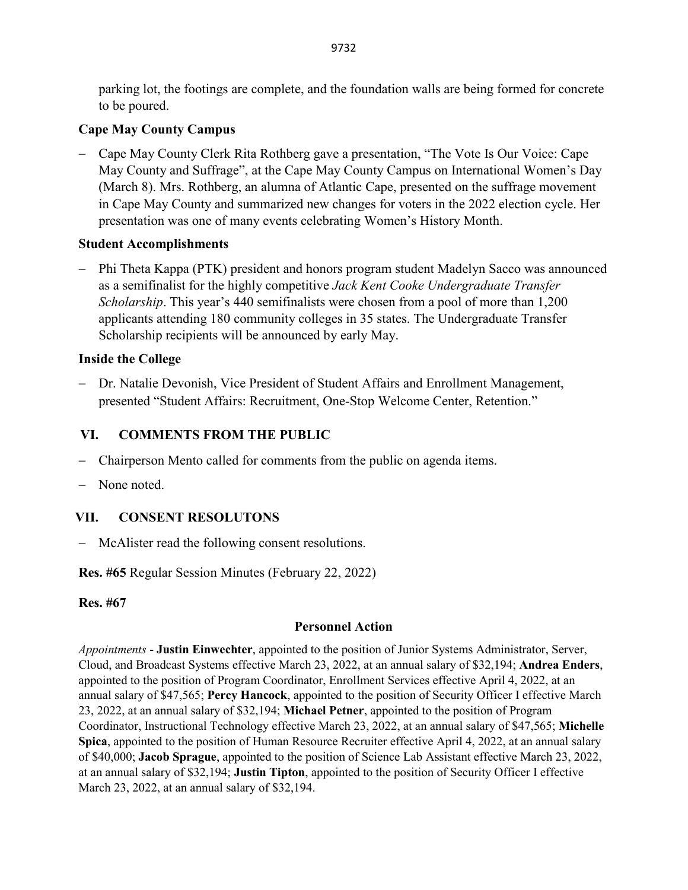parking lot, the footings are complete, and the foundation walls are being formed for concrete to be poured.

# **Cape May County Campus**

− Cape May County Clerk Rita Rothberg gave a presentation, "The Vote Is Our Voice: Cape May County and Suffrage", at the Cape May County Campus on International Women's Day (March 8). Mrs. Rothberg, an alumna of Atlantic Cape, presented on the suffrage movement in Cape May County and summarized new changes for voters in the 2022 election cycle. Her presentation was one of many events celebrating Women's History Month.

# **Student Accomplishments**

− Phi Theta Kappa (PTK) president and honors program student Madelyn Sacco was announced as a semifinalist for the highly competitive *Jack Kent Cooke Undergraduate Transfer Scholarship*. This year's 440 semifinalists were chosen from a pool of more than 1,200 applicants attending 180 community colleges in 35 states. The Undergraduate Transfer Scholarship recipients will be announced by early May.

# **Inside the College**

− Dr. Natalie Devonish, Vice President of Student Affairs and Enrollment Management, presented "Student Affairs: Recruitment, One-Stop Welcome Center, Retention."

# **VI. COMMENTS FROM THE PUBLIC**

- − Chairperson Mento called for comments from the public on agenda items.
- − None noted.

# **VII. CONSENT RESOLUTONS**

− McAlister read the following consent resolutions.

**Res. #65** Regular Session Minutes (February 22, 2022)

# **Res. #67**

# **Personnel Action**

*Appointments* - **Justin Einwechter**, appointed to the position of Junior Systems Administrator, Server, Cloud, and Broadcast Systems effective March 23, 2022, at an annual salary of \$32,194; **Andrea Enders**, appointed to the position of Program Coordinator, Enrollment Services effective April 4, 2022, at an annual salary of \$47,565; **Percy Hancock**, appointed to the position of Security Officer I effective March 23, 2022, at an annual salary of \$32,194; **Michael Petner**, appointed to the position of Program Coordinator, Instructional Technology effective March 23, 2022, at an annual salary of \$47,565; **Michelle Spica**, appointed to the position of Human Resource Recruiter effective April 4, 2022, at an annual salary of \$40,000; **Jacob Sprague**, appointed to the position of Science Lab Assistant effective March 23, 2022, at an annual salary of \$32,194; **Justin Tipton**, appointed to the position of Security Officer I effective March 23, 2022, at an annual salary of \$32,194.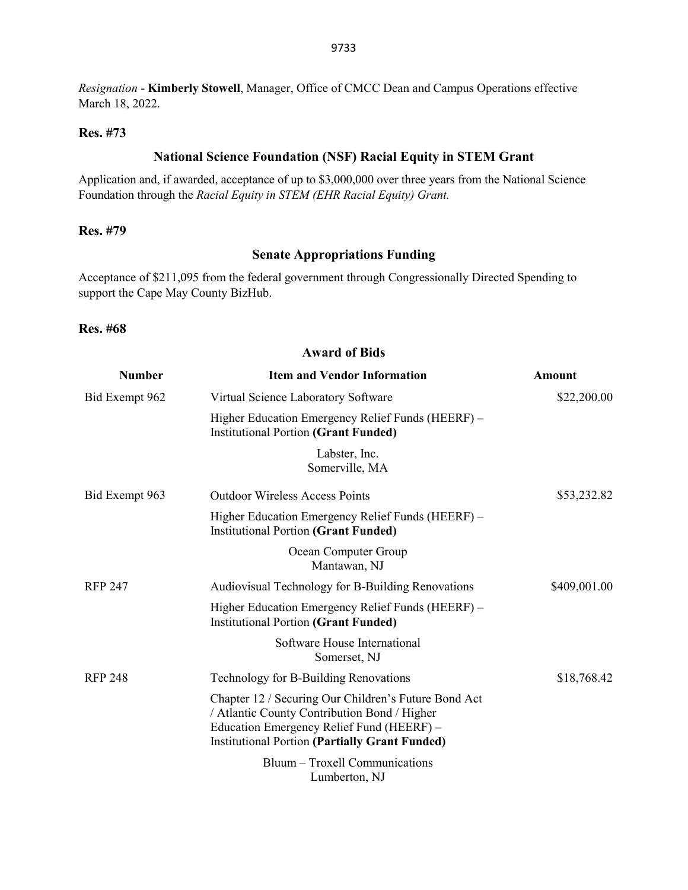*Resignation* - **Kimberly Stowell**, Manager, Office of CMCC Dean and Campus Operations effective March 18, 2022.

#### **Res. #73**

# **National Science Foundation (NSF) Racial Equity in STEM Grant**

Application and, if awarded, acceptance of up to \$3,000,000 over three years from the National Science Foundation through the *Racial Equity in STEM (EHR Racial Equity) Grant.*

### **Res. #79**

#### **Senate Appropriations Funding**

Acceptance of \$211,095 from the federal government through Congressionally Directed Spending to support the Cape May County BizHub.

#### **Res. #68**

| <b>Award of Bids</b> |                                                                                                                                                                                                            |               |  |  |
|----------------------|------------------------------------------------------------------------------------------------------------------------------------------------------------------------------------------------------------|---------------|--|--|
| <b>Number</b>        | <b>Item and Vendor Information</b>                                                                                                                                                                         | <b>Amount</b> |  |  |
| Bid Exempt 962       | Virtual Science Laboratory Software                                                                                                                                                                        | \$22,200.00   |  |  |
|                      | Higher Education Emergency Relief Funds (HEERF) -<br><b>Institutional Portion (Grant Funded)</b>                                                                                                           |               |  |  |
|                      | Labster, Inc.<br>Somerville, MA                                                                                                                                                                            |               |  |  |
| Bid Exempt 963       | <b>Outdoor Wireless Access Points</b>                                                                                                                                                                      | \$53,232.82   |  |  |
|                      | Higher Education Emergency Relief Funds (HEERF) -<br><b>Institutional Portion (Grant Funded)</b>                                                                                                           |               |  |  |
|                      | Ocean Computer Group<br>Mantawan, NJ                                                                                                                                                                       |               |  |  |
| <b>RFP 247</b>       | Audiovisual Technology for B-Building Renovations                                                                                                                                                          | \$409,001.00  |  |  |
|                      | Higher Education Emergency Relief Funds (HEERF) –<br><b>Institutional Portion (Grant Funded)</b>                                                                                                           |               |  |  |
|                      | Software House International<br>Somerset, NJ                                                                                                                                                               |               |  |  |
| <b>RFP 248</b>       | Technology for B-Building Renovations                                                                                                                                                                      | \$18,768.42   |  |  |
|                      | Chapter 12 / Securing Our Children's Future Bond Act<br>/ Atlantic County Contribution Bond / Higher<br>Education Emergency Relief Fund (HEERF) -<br><b>Institutional Portion (Partially Grant Funded)</b> |               |  |  |
|                      | Bluum - Troxell Communications<br>Lumberton, NJ                                                                                                                                                            |               |  |  |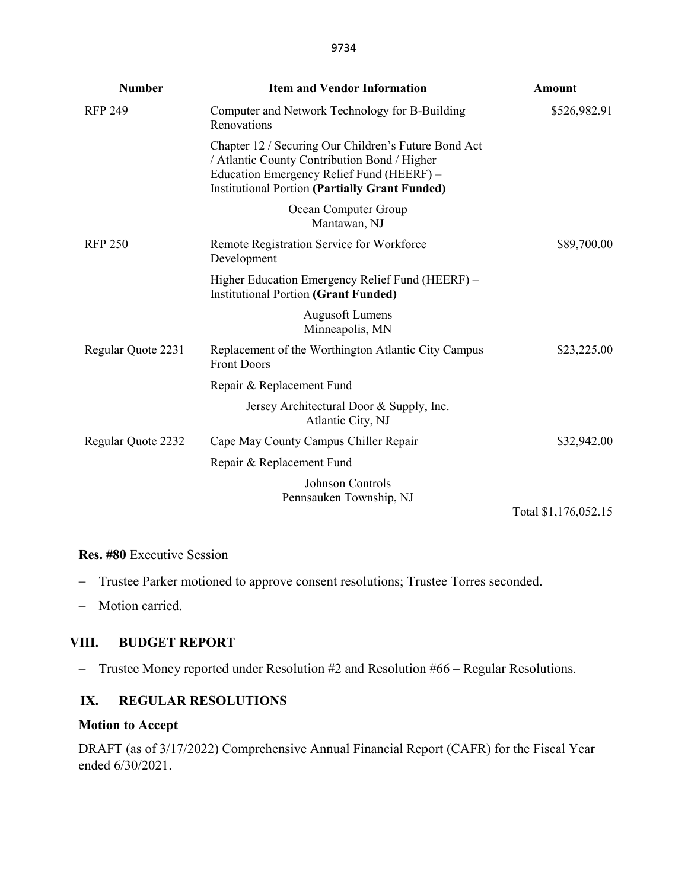| <b>Number</b>      | <b>Item and Vendor Information</b>                                                                                                                                                                         | <b>Amount</b>        |
|--------------------|------------------------------------------------------------------------------------------------------------------------------------------------------------------------------------------------------------|----------------------|
| <b>RFP 249</b>     | Computer and Network Technology for B-Building<br>Renovations                                                                                                                                              | \$526,982.91         |
|                    | Chapter 12 / Securing Our Children's Future Bond Act<br>/ Atlantic County Contribution Bond / Higher<br>Education Emergency Relief Fund (HEERF) -<br><b>Institutional Portion (Partially Grant Funded)</b> |                      |
|                    | Ocean Computer Group<br>Mantawan, NJ                                                                                                                                                                       |                      |
| <b>RFP 250</b>     | Remote Registration Service for Workforce<br>Development                                                                                                                                                   | \$89,700.00          |
|                    | Higher Education Emergency Relief Fund (HEERF) -<br><b>Institutional Portion (Grant Funded)</b>                                                                                                            |                      |
|                    | <b>Augusoft Lumens</b><br>Minneapolis, MN                                                                                                                                                                  |                      |
| Regular Quote 2231 | Replacement of the Worthington Atlantic City Campus<br><b>Front Doors</b>                                                                                                                                  | \$23,225.00          |
|                    | Repair & Replacement Fund                                                                                                                                                                                  |                      |
|                    | Jersey Architectural Door & Supply, Inc.<br>Atlantic City, NJ                                                                                                                                              |                      |
| Regular Quote 2232 | Cape May County Campus Chiller Repair                                                                                                                                                                      | \$32,942.00          |
|                    | Repair & Replacement Fund                                                                                                                                                                                  |                      |
|                    | <b>Johnson Controls</b><br>Pennsauken Township, NJ                                                                                                                                                         |                      |
|                    |                                                                                                                                                                                                            | Total \$1,176,052.15 |

#### **Res. #80** Executive Session

- − Trustee Parker motioned to approve consent resolutions; Trustee Torres seconded.
- − Motion carried.

#### **VIII. BUDGET REPORT**

− Trustee Money reported under Resolution #2 and Resolution #66 – Regular Resolutions.

# **IX. REGULAR RESOLUTIONS**

#### **Motion to Accept**

DRAFT (as of 3/17/2022) Comprehensive Annual Financial Report (CAFR) for the Fiscal Year ended 6/30/2021.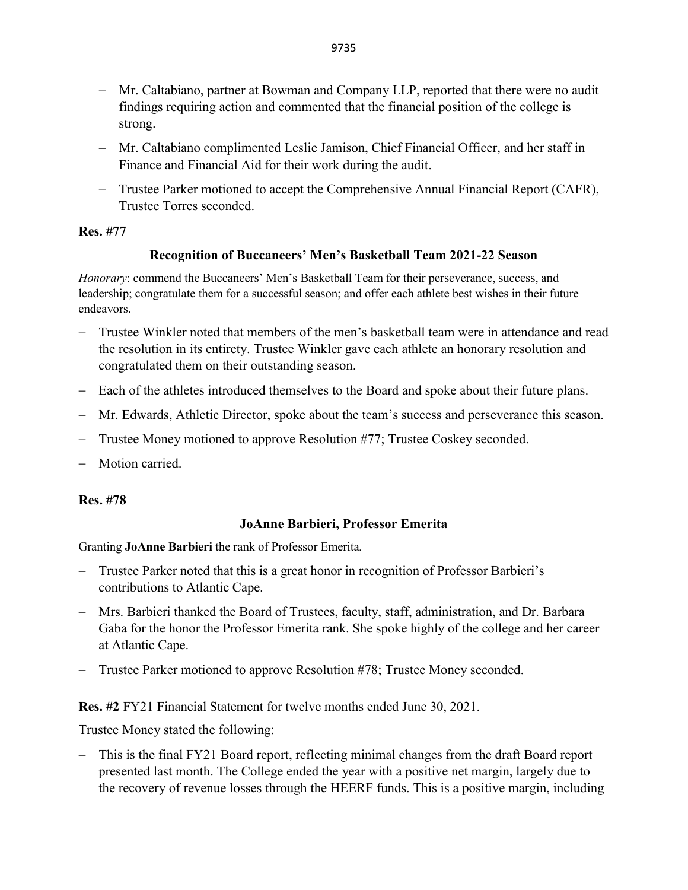- − Mr. Caltabiano, partner at Bowman and Company LLP, reported that there were no audit findings requiring action and commented that the financial position of the college is strong.
- − Mr. Caltabiano complimented Leslie Jamison, Chief Financial Officer, and her staff in Finance and Financial Aid for their work during the audit.
- − Trustee Parker motioned to accept the Comprehensive Annual Financial Report (CAFR), Trustee Torres seconded.

# **Res. #77**

# **Recognition of Buccaneers' Men's Basketball Team 2021-22 Season**

*Honorary*: commend the Buccaneers' Men's Basketball Team for their perseverance, success, and leadership; congratulate them for a successful season; and offer each athlete best wishes in their future endeavors.

- − Trustee Winkler noted that members of the men's basketball team were in attendance and read the resolution in its entirety. Trustee Winkler gave each athlete an honorary resolution and congratulated them on their outstanding season.
- − Each of the athletes introduced themselves to the Board and spoke about their future plans.
- − Mr. Edwards, Athletic Director, spoke about the team's success and perseverance this season.
- − Trustee Money motioned to approve Resolution #77; Trustee Coskey seconded.
- − Motion carried.

### **Res. #78**

# **JoAnne Barbieri, Professor Emerita**

Granting **JoAnne Barbieri** the rank of Professor Emerita*.*

- − Trustee Parker noted that this is a great honor in recognition of Professor Barbieri's contributions to Atlantic Cape.
- − Mrs. Barbieri thanked the Board of Trustees, faculty, staff, administration, and Dr. Barbara Gaba for the honor the Professor Emerita rank. She spoke highly of the college and her career at Atlantic Cape.
- − Trustee Parker motioned to approve Resolution #78; Trustee Money seconded.

# **Res. #2** FY21 Financial Statement for twelve months ended June 30, 2021.

Trustee Money stated the following:

− This is the final FY21 Board report, reflecting minimal changes from the draft Board report presented last month. The College ended the year with a positive net margin, largely due to the recovery of revenue losses through the HEERF funds. This is a positive margin, including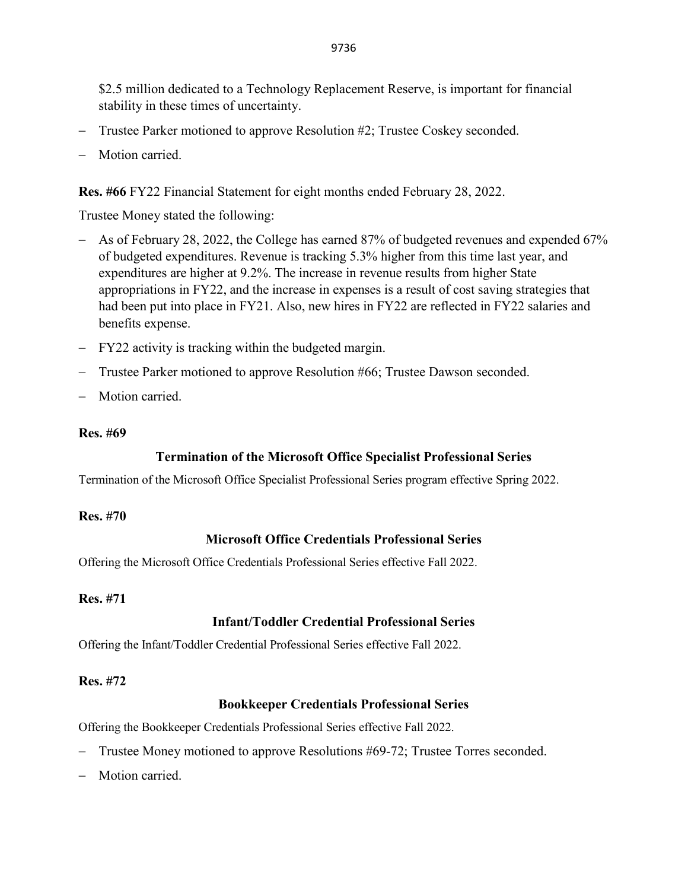\$2.5 million dedicated to a Technology Replacement Reserve, is important for financial stability in these times of uncertainty.

- − Trustee Parker motioned to approve Resolution #2; Trustee Coskey seconded.
- − Motion carried.

**Res. #66** FY22 Financial Statement for eight months ended February 28, 2022.

Trustee Money stated the following:

- − As of February 28, 2022, the College has earned 87% of budgeted revenues and expended 67% of budgeted expenditures. Revenue is tracking 5.3% higher from this time last year, and expenditures are higher at 9.2%. The increase in revenue results from higher State appropriations in FY22, and the increase in expenses is a result of cost saving strategies that had been put into place in FY21. Also, new hires in FY22 are reflected in FY22 salaries and benefits expense.
- − FY22 activity is tracking within the budgeted margin.
- − Trustee Parker motioned to approve Resolution #66; Trustee Dawson seconded.
- Motion carried.

#### **Res. #69**

### **Termination of the Microsoft Office Specialist Professional Series**

Termination of the Microsoft Office Specialist Professional Series program effective Spring 2022.

#### **Res. #70**

### **Microsoft Office Credentials Professional Series**

Offering the Microsoft Office Credentials Professional Series effective Fall 2022.

### **Res. #71**

# **Infant/Toddler Credential Professional Series**

Offering the Infant/Toddler Credential Professional Series effective Fall 2022.

### **Res. #72**

### **Bookkeeper Credentials Professional Series**

Offering the Bookkeeper Credentials Professional Series effective Fall 2022.

- − Trustee Money motioned to approve Resolutions #69-72; Trustee Torres seconded.
- Motion carried.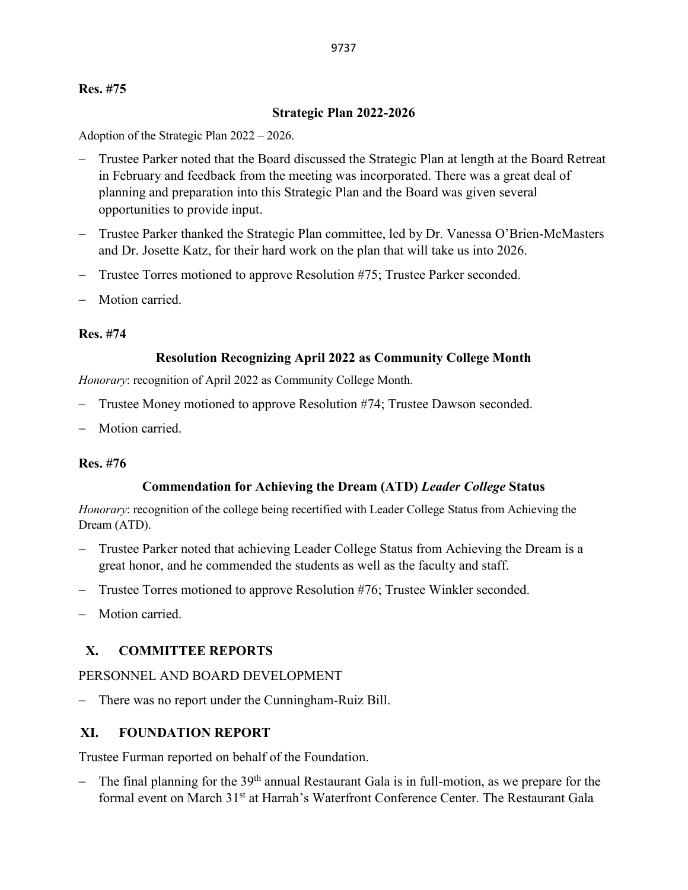### **Res. #75**

#### **Strategic Plan 2022-2026**

Adoption of the Strategic Plan 2022 – 2026.

- − Trustee Parker noted that the Board discussed the Strategic Plan at length at the Board Retreat in February and feedback from the meeting was incorporated. There was a great deal of planning and preparation into this Strategic Plan and the Board was given several opportunities to provide input.
- − Trustee Parker thanked the Strategic Plan committee, led by Dr. Vanessa O'Brien-McMasters and Dr. Josette Katz, for their hard work on the plan that will take us into 2026.
- − Trustee Torres motioned to approve Resolution #75; Trustee Parker seconded.
- − Motion carried.

#### **Res. #74**

#### **Resolution Recognizing April 2022 as Community College Month**

*Honorary*: recognition of April 2022 as Community College Month.

- − Trustee Money motioned to approve Resolution #74; Trustee Dawson seconded.
- Motion carried.

### **Res. #76**

### **Commendation for Achieving the Dream (ATD)** *Leader College* **Status**

*Honorary*: recognition of the college being recertified with Leader College Status from Achieving the Dream (ATD).

- − Trustee Parker noted that achieving Leader College Status from Achieving the Dream is a great honor, and he commended the students as well as the faculty and staff.
- − Trustee Torres motioned to approve Resolution #76; Trustee Winkler seconded.
- − Motion carried.

### **X. COMMITTEE REPORTS**

#### PERSONNEL AND BOARD DEVELOPMENT

− There was no report under the Cunningham-Ruiz Bill.

### **XI. FOUNDATION REPORT**

Trustee Furman reported on behalf of the Foundation.

− The final planning for the 39<sup>th</sup> annual Restaurant Gala is in full-motion, as we prepare for the formal event on March 31<sup>st</sup> at Harrah's Waterfront Conference Center. The Restaurant Gala